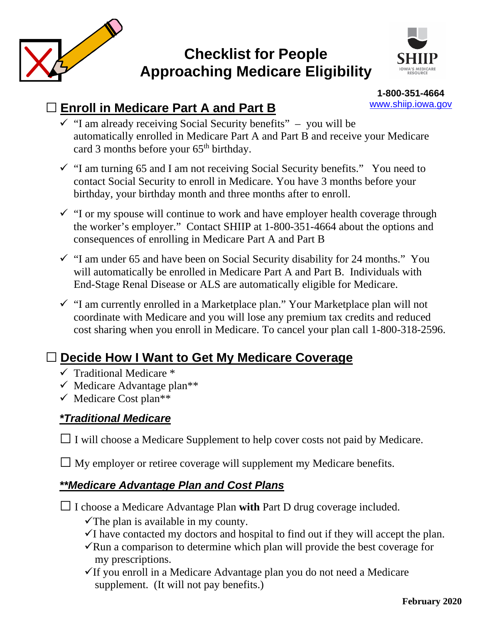

# **Checklist for People Approaching Medicare Eligibility**



**1-800-351-4664** [www.shiip.iowa.gov](http://www.shiip.iowa.gov/)

### **□ Enroll in Medicare Part A and Part B**

- $\checkmark$  "I am already receiving Social Security benefits" you will be automatically enrolled in Medicare Part A and Part B and receive your Medicare card 3 months before your  $65<sup>th</sup>$  birthday.
- $\checkmark$  "I am turning 65 and I am not receiving Social Security benefits." You need to contact Social Security to enroll in Medicare. You have 3 months before your birthday, your birthday month and three months after to enroll.
- $\checkmark$  "I or my spouse will continue to work and have employer health coverage through the worker's employer." Contact SHIIP at 1-800-351-4664 about the options and consequences of enrolling in Medicare Part A and Part B
- $\checkmark$  "I am under 65 and have been on Social Security disability for 24 months." You will automatically be enrolled in Medicare Part A and Part B. Individuals with End-Stage Renal Disease or ALS are automatically eligible for Medicare.
- $\checkmark$  "I am currently enrolled in a Marketplace plan." Your Marketplace plan will not coordinate with Medicare and you will lose any premium tax credits and reduced cost sharing when you enroll in Medicare. To cancel your plan call 1-800-318-2596.

## **□ Decide How I Want to Get My Medicare Coverage**

- $\checkmark$  Traditional Medicare  $*$
- $\checkmark$  Medicare Advantage plan<sup>\*\*</sup>
- $\checkmark$  Medicare Cost plan<sup>\*\*</sup>

### *\*Traditional Medicare*

**□**I will choose a Medicare Supplement to help cover costs not paid by Medicare.

**□** My employer or retiree coverage will supplement my Medicare benefits.

### *\*\*Medicare Advantage Plan and Cost Plans*

**□**I choose a Medicare Advantage Plan **with** Part D drug coverage included.

 $\checkmark$  The plan is available in my county.

- $\checkmark$ I have contacted my doctors and hospital to find out if they will accept the plan.
- $\sqrt{\text{Run}}$  a comparison to determine which plan will provide the best coverage for my prescriptions.
- $\checkmark$  If you enroll in a Medicare Advantage plan you do not need a Medicare supplement. (It will not pay benefits.)